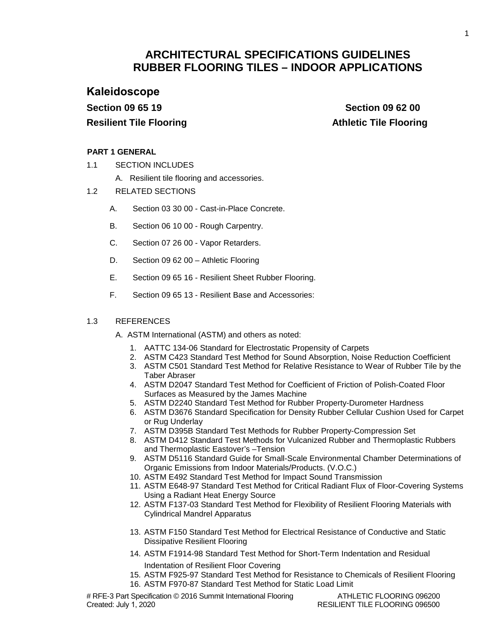# **ARCHITECTURAL SPECIFICATIONS GUIDELINES RUBBER FLOORING TILES – INDOOR APPLICATIONS**

**Kaleidoscope Section 09 65 19 Resilient Tile Flooring** 

 **Section 09 62 00 Athletic Tile Flooring**

## **PART 1 GENERAL**

- 1.1 SECTION INCLUDES
	- A. Resilient tile flooring and accessories.
- 1.2 RELATED SECTIONS
	- A. Section 03 30 00 Cast-in-Place Concrete.
	- B. Section 06 10 00 Rough Carpentry.
	- C. Section 07 26 00 Vapor Retarders.
	- D. Section 09 62 00 Athletic Flooring
	- E. Section 09 65 16 Resilient Sheet Rubber Flooring.
	- F. Section 09 65 13 Resilient Base and Accessories:

## 1.3 REFERENCES

- A. ASTM International (ASTM) and others as noted:
	- 1. AATTC 134-06 Standard for Electrostatic Propensity of Carpets
	- 2. ASTM C423 Standard Test Method for Sound Absorption, Noise Reduction Coefficient
	- 3. ASTM C501 Standard Test Method for Relative Resistance to Wear of Rubber Tile by the Taber Abraser
	- 4. ASTM D2047 Standard Test Method for Coefficient of Friction of Polish-Coated Floor Surfaces as Measured by the James Machine
	- 5. ASTM D2240 Standard Test Method for Rubber Property-Durometer Hardness
	- 6. ASTM D3676 Standard Specification for Density Rubber Cellular Cushion Used for Carpet or Rug Underlay
	- 7. ASTM D395B Standard Test Methods for Rubber Property-Compression Set
	- 8. ASTM D412 Standard Test Methods for Vulcanized Rubber and Thermoplastic Rubbers and Thermoplastic Eastover's –Tension
	- 9. ASTM D5116 Standard Guide for Small-Scale Environmental Chamber Determinations of Organic Emissions from Indoor Materials/Products. (V.O.C.)
	- 10. ASTM E492 Standard Test Method for Impact Sound Transmission
	- 11. ASTM E648-97 Standard Test Method for Critical Radiant Flux of Floor-Covering Systems Using a Radiant Heat Energy Source
	- 12. ASTM F137-03 Standard Test Method for Flexibility of Resilient Flooring Materials with Cylindrical Mandrel Apparatus
	- 13. ASTM F150 Standard Test Method for Electrical Resistance of Conductive and Static Dissipative Resilient Flooring
	- 14. ASTM F1914-98 Standard Test Method for Short-Term Indentation and Residual Indentation of Resilient Floor Covering
	- 15. ASTM F925-97 Standard Test Method for Resistance to Chemicals of Resilient Flooring 16. ASTM F970-87 Standard Test Method for Static Load Limit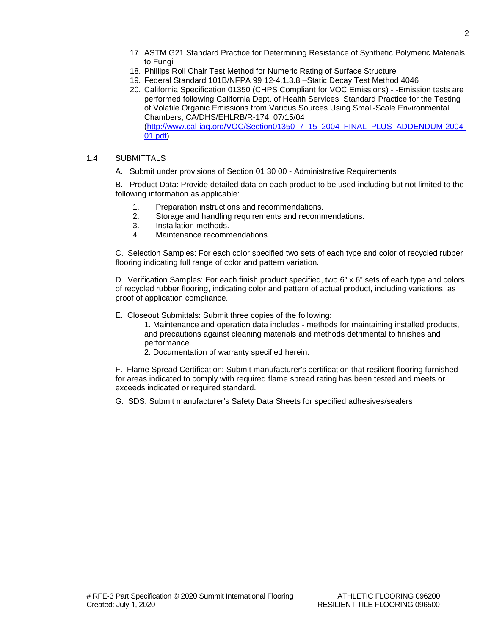- 17. ASTM G21 Standard Practice for Determining Resistance of Synthetic Polymeric Materials to Fungi
- 18. Phillips Roll Chair Test Method for Numeric Rating of Surface Structure
- 19. Federal Standard 101B/NFPA 99 12-4.1.3.8 –Static Decay Test Method 4046
- 20. California Specification 01350 (CHPS Compliant for VOC Emissions) -Emission tests are performed following California Dept. of Health Services Standard Practice for the Testing of Volatile Organic Emissions from Various Sources Using Small-Scale Environmental Chambers, CA/DHS/EHLRB/R-174, 07/15/04 [\(http://www.cal-iaq.org/VOC/Section01350\\_7\\_15\\_2004\\_FINAL\\_PLUS\\_ADDENDUM-2004-](http://www.cal-iaq.org/VOC/Section01350_7_15_2004_FINAL_PLUS_ADDENDUM-2004-01.pdf) [01.pdf\)](http://www.cal-iaq.org/VOC/Section01350_7_15_2004_FINAL_PLUS_ADDENDUM-2004-01.pdf)

## 1.4 SUBMITTALS

A. Submit under provisions of Section 01 30 00 - Administrative Requirements

B. Product Data: Provide detailed data on each product to be used including but not limited to the following information as applicable:

- 1. Preparation instructions and recommendations.<br>2. Storage and handling requirements and recomn
- Storage and handling requirements and recommendations.
- 3. Installation methods.
- 4. Maintenance recommendations.

C. Selection Samples: For each color specified two sets of each type and color of recycled rubber flooring indicating full range of color and pattern variation.

D. Verification Samples: For each finish product specified, two 6" x 6" sets of each type and colors of recycled rubber flooring, indicating color and pattern of actual product, including variations, as proof of application compliance.

- E. Closeout Submittals: Submit three copies of the following:
	- 1. Maintenance and operation data includes methods for maintaining installed products, and precautions against cleaning materials and methods detrimental to finishes and performance.
	- 2. Documentation of warranty specified herein.

F. Flame Spread Certification: Submit manufacturer's certification that resilient flooring furnished for areas indicated to comply with required flame spread rating has been tested and meets or exceeds indicated or required standard.

G. SDS: Submit manufacturer's Safety Data Sheets for specified adhesives/sealers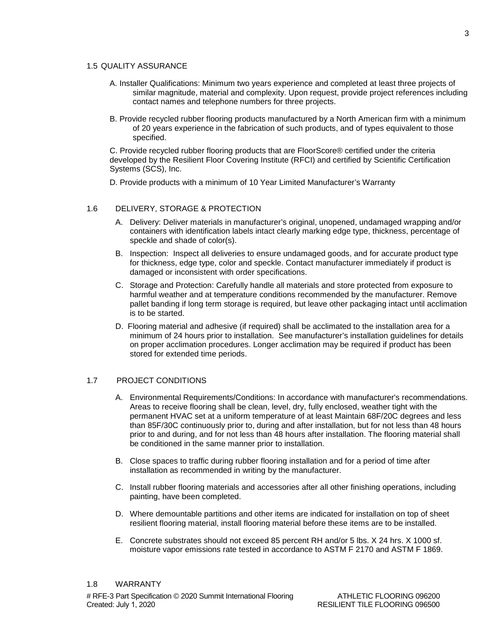#### 1.5 QUALITY ASSURANCE

- A. Installer Qualifications: Minimum two years experience and completed at least three projects of similar magnitude, material and complexity. Upon request, provide project references including contact names and telephone numbers for three projects.
- B. Provide recycled rubber flooring products manufactured by a North American firm with a minimum of 20 years experience in the fabrication of such products, and of types equivalent to those specified.

C. Provide recycled rubber flooring products that are FloorScore® certified under the criteria developed by the Resilient Floor Covering Institute (RFCI) and certified by Scientific Certification Systems (SCS), Inc.

D. Provide products with a minimum of 10 Year Limited Manufacturer's Warranty

## 1.6 DELIVERY, STORAGE & PROTECTION

- A. Delivery: Deliver materials in manufacturer's original, unopened, undamaged wrapping and/or containers with identification labels intact clearly marking edge type, thickness, percentage of speckle and shade of color(s).
- B. Inspection: Inspect all deliveries to ensure undamaged goods, and for accurate product type for thickness, edge type, color and speckle. Contact manufacturer immediately if product is damaged or inconsistent with order specifications.
- C. Storage and Protection: Carefully handle all materials and store protected from exposure to harmful weather and at temperature conditions recommended by the manufacturer. Remove pallet banding if long term storage is required, but leave other packaging intact until acclimation is to be started.
- D. Flooring material and adhesive (if required) shall be acclimated to the installation area for a minimum of 24 hours prior to installation. See manufacturer's installation guidelines for details on proper acclimation procedures. Longer acclimation may be required if product has been stored for extended time periods.

#### 1.7 PROJECT CONDITIONS

- A. Environmental Requirements/Conditions: In accordance with manufacturer's recommendations. Areas to receive flooring shall be clean, level, dry, fully enclosed, weather tight with the permanent HVAC set at a uniform temperature of at least Maintain 68F/20C degrees and less than 85F/30C continuously prior to, during and after installation, but for not less than 48 hours prior to and during, and for not less than 48 hours after installation. The flooring material shall be conditioned in the same manner prior to installation.
- B. Close spaces to traffic during rubber flooring installation and for a period of time after installation as recommended in writing by the manufacturer.
- C. Install rubber flooring materials and accessories after all other finishing operations, including painting, have been completed.
- D. Where demountable partitions and other items are indicated for installation on top of sheet resilient flooring material, install flooring material before these items are to be installed.
- E. Concrete substrates should not exceed 85 percent RH and/or 5 lbs. X 24 hrs. X 1000 sf. moisture vapor emissions rate tested in accordance to ASTM F 2170 and ASTM F 1869.

#### 1.8 WARRANTY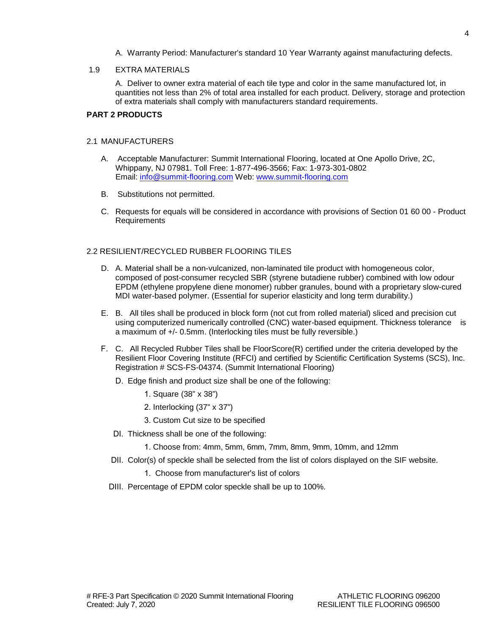A. Warranty Period: Manufacturer's standard 10 Year Warranty against manufacturing defects.

## 1.9 EXTRA MATERIALS

A. Deliver to owner extra material of each tile type and color in the same manufactured lot, in quantities not less than 2% of total area installed for each product. Delivery, storage and protection of extra materials shall comply with manufacturers standard requirements.

## **PART 2 PRODUCTS**

#### 2.1 MANUFACTURERS

- A. Acceptable Manufacturer: Summit International Flooring, located at One Apollo Drive, 2C, Whippany, NJ 07981. Toll Free: 1-877-496-3566; Fax: 1-973-301-0802 Email: [info@summit-flooring.com](mailto:info@summit-flooring.com) Web: [www.summit-flooring.com](http://www.summit-flooring.com/)
- B. Substitutions not permitted.
- C. Requests for equals will be considered in accordance with provisions of Section 01 60 00 Product Requirements

## 2.2 RESILIENT/RECYCLED RUBBER FLOORING TILES

- D. A. Material shall be a non-vulcanized, non-laminated tile product with homogeneous color, composed of post-consumer recycled SBR (styrene butadiene rubber) combined with low odour EPDM (ethylene propylene diene monomer) rubber granules, bound with a proprietary slow-cured MDI water-based polymer. (Essential for superior elasticity and long term durability.)
- E. B. All tiles shall be produced in block form (not cut from rolled material) sliced and precision cut using computerized numerically controlled (CNC) water-based equipment. Thickness tolerance is a maximum of +/- 0.5mm. (Interlocking tiles must be fully reversible.)
- F. C. All Recycled Rubber Tiles shall be FloorScore(R) certified under the criteria developed by the Resilient Floor Covering Institute (RFCI) and certified by Scientific Certification Systems (SCS), Inc. Registration # SCS-FS-04374. (Summit International Flooring)
	- D. Edge finish and product size shall be one of the following:
		- 1. Square (38" x 38")
		- 2. Interlocking (37" x 37")
		- 3. Custom Cut size to be specified
	- DI. Thickness shall be one of the following:
		- 1. Choose from: 4mm, 5mm, 6mm, 7mm, 8mm, 9mm, 10mm, and 12mm
	- DII. Color(s) of speckle shall be selected from the list of colors displayed on the SIF website.
		- 1. Choose from manufacturer's list of colors
	- DIII. Percentage of EPDM color speckle shall be up to 100%.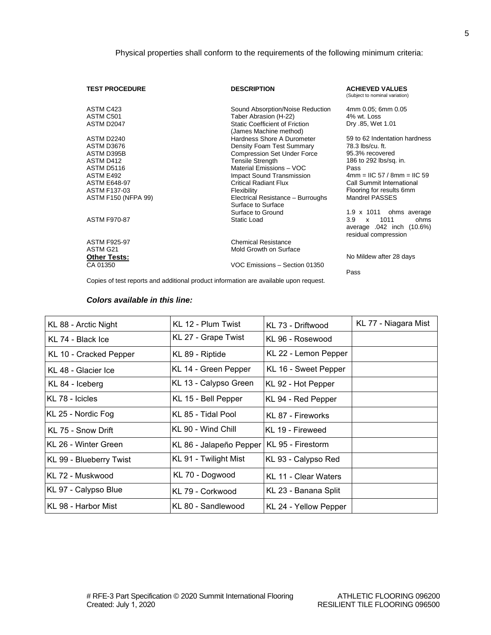| <b>TEST PROCEDURE</b>      | <b>DESCRIPTION</b>                                              | <b>ACHIEVED VALUES</b><br>(Subject to nominal variation)                                 |
|----------------------------|-----------------------------------------------------------------|------------------------------------------------------------------------------------------|
| ASTM C423                  | Sound Absorption/Noise Reduction                                | 4mm 0.05; 6mm 0.05                                                                       |
| ASTM C501                  | Taber Abrasion (H-22)                                           | 4% wt. Loss                                                                              |
| ASTM D2047                 | <b>Static Coefficient of Friction</b><br>(James Machine method) | Dry .85, Wet 1.01                                                                        |
| <b>ASTM D2240</b>          | Hardness Shore A Durometer                                      | 59 to 62 Indentation hardness                                                            |
| ASTM D3676                 | Density Foam Test Summary                                       | 78.3 lbs/cu. ft.                                                                         |
| ASTM D395B                 | <b>Compression Set Under Force</b>                              | 95.3% recovered                                                                          |
| ASTM D412                  | <b>Tensile Strength</b>                                         | 186 to 292 lbs/sq. in.                                                                   |
| ASTM D5116                 | Material Emissions - VOC                                        | Pass                                                                                     |
| ASTM E492                  | Impact Sound Transmission                                       | $4mm = IIC 57 / 8mm = IIC 59$                                                            |
| <b>ASTM E648-97</b>        | Critical Radiant Flux                                           | Call Summit International                                                                |
| ASTM F137-03               | Flexibility                                                     | Flooring for results 6mm                                                                 |
| <b>ASTM F150 (NFPA 99)</b> | Electrical Resistance - Burroughs<br>Surface to Surface         | Mandrel PASSES                                                                           |
|                            | Surface to Ground                                               | 1.9 x 1011 ohms average                                                                  |
| <b>ASTM F970-87</b>        | Static Load                                                     | 1011<br>3.9<br>ohms<br>$\mathsf{x}$<br>average .042 inch (10.6%)<br>residual compression |
| <b>ASTM F925-97</b>        | <b>Chemical Resistance</b>                                      |                                                                                          |
| ASTM G21                   | Mold Growth on Surface                                          |                                                                                          |
| <b>Other Tests:</b>        |                                                                 | No Mildew after 28 days                                                                  |
| CA 01350                   | VOC Emissions - Section 01350                                   |                                                                                          |
|                            |                                                                 | Pass                                                                                     |

Copies of test reports and additional product information are available upon request.

## *Colors available in this line:*

| KL 88 - Arctic Night    | KL 12 - Plum Twist                          | KL 73 - Driftwood     | KL 77 - Niagara Mist |
|-------------------------|---------------------------------------------|-----------------------|----------------------|
| KL 74 - Black Ice       | KL 27 - Grape Twist                         | KL 96 - Rosewood      |                      |
| KL 10 - Cracked Pepper  | KL 89 - Riptide                             | KL 22 - Lemon Pepper  |                      |
| KL 48 - Glacier Ice     | KL 14 - Green Pepper                        | KL 16 - Sweet Pepper  |                      |
| KL 84 - Iceberg         | KL 13 - Calypso Green                       | KL 92 - Hot Pepper    |                      |
| KL 78 - Icicles         | KL 15 - Bell Pepper                         | KL 94 - Red Pepper    |                      |
| KL 25 - Nordic Fog      | KL 85 - Tidal Pool                          | KL 87 - Fireworks     |                      |
| KL 75 - Snow Drift      | KL 90 - Wind Chill                          | KL 19 - Fireweed      |                      |
| KL 26 - Winter Green    | KL 86 - Jalapeño Pepper   KL 95 - Firestorm |                       |                      |
| KL 99 - Blueberry Twist | KL 91 - Twilight Mist                       | KL 93 - Calypso Red   |                      |
| KL 72 - Muskwood        | KL 70 - Dogwood                             | KL 11 - Clear Waters  |                      |
| KL 97 - Calypso Blue    | KL 79 - Corkwood                            | KL 23 - Banana Split  |                      |
| KL 98 - Harbor Mist     | KL 80 - Sandlewood                          | KL 24 - Yellow Pepper |                      |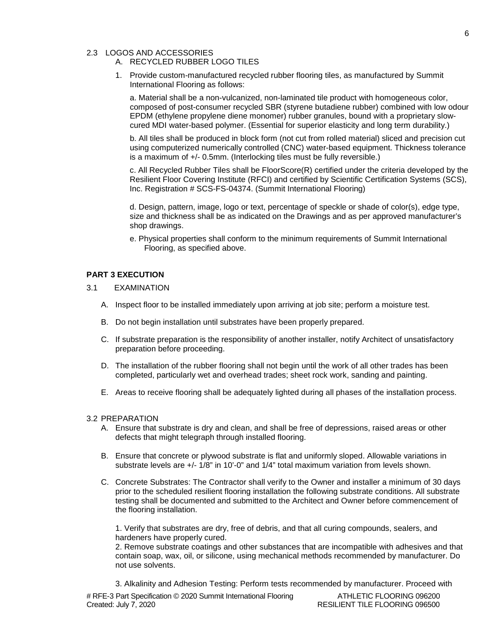## 2.3 LOGOS AND ACCESSORIES

## A. RECYCLED RUBBER LOGO TILES

1. Provide custom-manufactured recycled rubber flooring tiles, as manufactured by Summit International Flooring as follows:

a. Material shall be a non-vulcanized, non-laminated tile product with homogeneous color, composed of post-consumer recycled SBR (styrene butadiene rubber) combined with low odour EPDM (ethylene propylene diene monomer) rubber granules, bound with a proprietary slowcured MDI water-based polymer. (Essential for superior elasticity and long term durability.)

b. All tiles shall be produced in block form (not cut from rolled material) sliced and precision cut using computerized numerically controlled (CNC) water-based equipment. Thickness tolerance is a maximum of +/- 0.5mm. (Interlocking tiles must be fully reversible.)

c. All Recycled Rubber Tiles shall be FloorScore(R) certified under the criteria developed by the Resilient Floor Covering Institute (RFCI) and certified by Scientific Certification Systems (SCS), Inc. Registration # SCS-FS-04374. (Summit International Flooring)

d. Design, pattern, image, logo or text, percentage of speckle or shade of color(s), edge type, size and thickness shall be as indicated on the Drawings and as per approved manufacturer's shop drawings.

e. Physical properties shall conform to the minimum requirements of Summit International Flooring, as specified above.

## **PART 3 EXECUTION**

- 3.1 EXAMINATION
	- A. Inspect floor to be installed immediately upon arriving at job site; perform a moisture test.
	- B. Do not begin installation until substrates have been properly prepared.
	- C. If substrate preparation is the responsibility of another installer, notify Architect of unsatisfactory preparation before proceeding.
	- D. The installation of the rubber flooring shall not begin until the work of all other trades has been completed, particularly wet and overhead trades; sheet rock work, sanding and painting.
	- E. Areas to receive flooring shall be adequately lighted during all phases of the installation process.

#### 3.2 PREPARATION

- A. Ensure that substrate is dry and clean, and shall be free of depressions, raised areas or other defects that might telegraph through installed flooring.
- B. Ensure that concrete or plywood substrate is flat and uniformly sloped. Allowable variations in substrate levels are +/- 1/8" in 10'-0" and 1/4" total maximum variation from levels shown.
- C. Concrete Substrates: The Contractor shall verify to the Owner and installer a minimum of 30 days prior to the scheduled resilient flooring installation the following substrate conditions. All substrate testing shall be documented and submitted to the Architect and Owner before commencement of the flooring installation.

1. Verify that substrates are dry, free of debris, and that all curing compounds, sealers, and hardeners have properly cured.

2. Remove substrate coatings and other substances that are incompatible with adhesives and that contain soap, wax, oil, or silicone, using mechanical methods recommended by manufacturer. Do not use solvents.

3. Alkalinity and Adhesion Testing: Perform tests recommended by manufacturer. Proceed with